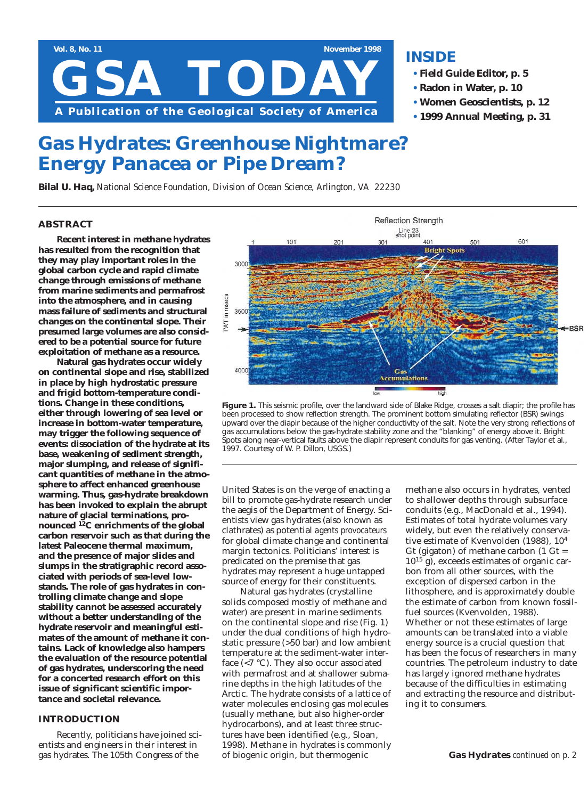

# **INSIDE**

- **• Field Guide Editor, p. 5**
- **• Radon in Water, p. 10**
- **• Women Geoscientists, p. 12**
- **• 1999 Annual Meeting, p. 31**

# **Gas Hydrates: Greenhouse Nightmare? Energy Panacea or Pipe Dream?**

*Bilal U. Haq, National Science Foundation, Division of Ocean Science, Arlington, VA 22230*

#### **ABSTRACT**

**Recent interest in methane hydrates has resulted from the recognition that they may play important roles in the global carbon cycle and rapid climate change through emissions of methane from marine sediments and permafrost into the atmosphere, and in causing mass failure of sediments and structural changes on the continental slope. Their presumed large volumes are also considered to be a potential source for future exploitation of methane as a resource.** 

**Natural gas hydrates occur widely on continental slope and rise, stabilized in place by high hydrostatic pressure and frigid bottom-temperature conditions. Change in these conditions, either through lowering of sea level or increase in bottom-water temperature, may trigger the following sequence of events: dissociation of the hydrate at its base, weakening of sediment strength, major slumping, and release of significant quantities of methane in the atmosphere to affect enhanced greenhouse warming. Thus, gas-hydrate breakdown has been invoked to explain the abrupt nature of glacial terminations, pronounced 12C enrichments of the global carbon reservoir such as that during the latest Paleocene thermal maximum, and the presence of major slides and slumps in the stratigraphic record associated with periods of sea-level lowstands. The role of gas hydrates in controlling climate change and slope stability cannot be assessed accurately without a better understanding of the hydrate reservoir and meaningful estimates of the amount of methane it contains. Lack of knowledge also hampers the evaluation of the resource potential of gas hydrates, underscoring the need for a concerted research effort on this issue of significant scientific importance and societal relevance.** 

#### **INTRODUCTION**

Recently, politicians have joined scientists and engineers in their interest in gas hydrates. The 105th Congress of the





United States is on the verge of enacting a bill to promote gas-hydrate research under the aegis of the Department of Energy. Scientists view gas hydrates (also known as clathrates) as potential *agents provocateurs* for global climate change and continental margin tectonics. Politicians' interest is predicated on the premise that gas hydrates may represent a huge untapped source of energy for their constituents.

Natural gas hydrates (crystalline solids composed mostly of methane and water) are present in marine sediments on the continental slope and rise (Fig. 1) under the dual conditions of high hydrostatic pressure (>50 bar) and low ambient temperature at the sediment-water interface (<7 °C). They also occur associated with permafrost and at shallower submarine depths in the high latitudes of the Arctic. The hydrate consists of a lattice of water molecules enclosing gas molecules (usually methane, but also higher-order hydrocarbons), and at least three structures have been identified (e.g., Sloan, 1998). Methane in hydrates is commonly of biogenic origin, but thermogenic

methane also occurs in hydrates, vented to shallower depths through subsurface conduits (e.g., MacDonald et al., 1994). Estimates of total hydrate volumes vary widely, but even the relatively conservative estimate of Kvenvolden (1988), 104 Gt (gigaton) of methane carbon  $(1 \text{ Gt} =$ 1015 g), exceeds estimates of organic carbon from all other sources, with the exception of dispersed carbon in the lithosphere, and is approximately double the estimate of carbon from known fossilfuel sources (Kvenvolden, 1988). Whether or not these estimates of large amounts can be translated into a viable energy source is a crucial question that has been the focus of researchers in many countries. The petroleum industry to date has largely ignored methane hydrates because of the difficulties in estimating and extracting the resource and distributing it to consumers.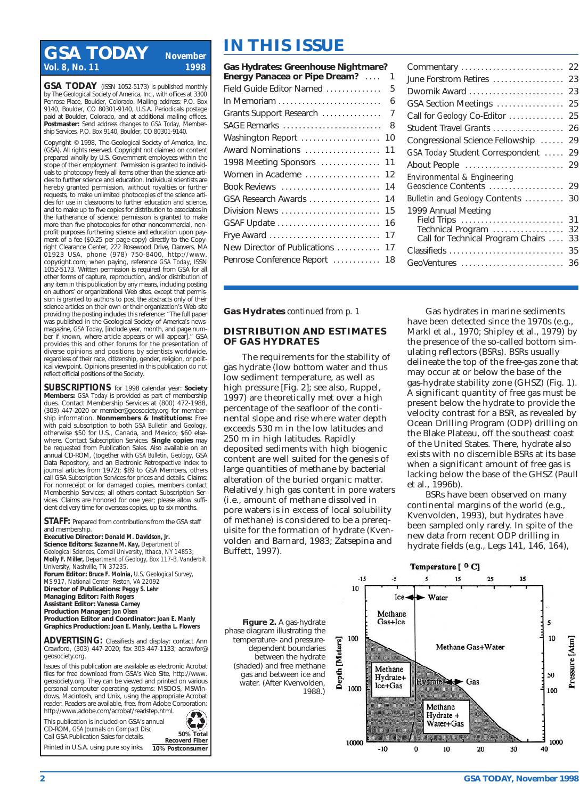# **IN THIS ISSUE**<br>Vol. 8, No. 11<br>**ISSUE Gas Hydrates: Greenhouse Ni** *Vol. 8, No. 11*

**GSA TODAY** (ISSN 1052-5173) is published monthly by The Geological Society of America, Inc., with offices at 3300 Penrose Place, Boulder, Colorado. Mailing address: P.O. Box 9140, Boulder, CO 80301-9140, U.S.A. Periodicals postage paid at Boulder, Colorado, and at additional mailing offices. **Postmaster:** Send address changes to *GSA Today,* Membership Services, P.O. Box 9140, Boulder, C.O. 80301-9140.

Copyright © 1998, The Geological Society of America, Inc. (GSA). All rights reserved. Copyright not claimed on content prepared wholly by U.S. Government employees within the scope of their employment. Permission is granted to individuals to photocopy freely all items other than the science articles to further science and education. Individual scientists are hereby granted permission, without royalties or further requests, to make unlimited photocopies of the science articles for use in classrooms to further education and science, and to make up to five copies for distribution to associates in the furtherance of science; permission is granted to make more than five photocopies for other noncommercial, nonprofit purposes furthering science and education upon payment of a fee (\$0.25 per page-copy) directly to the Copyright Clearance Center, 222 Rosewood Drive, Danvers, MA 01923 USA, phone (978) 750-8400, http://www. copyright.com; when paying, reference *GSA Today,* ISSN 1052-5173. Written permission is required from GSA for all other forms of capture, reproduction, and/or distribution of any item in this publication by any means, including posting on authors' or organizational Web sites, except that permission is granted to authors to post the abstracts only of their science articles on their own or their organization's Web site providing the posting includes this reference: "The full paper was published in the Geological Society of America's newsmagazine, *GSA Today,* [include year, month, and page number if known, where article appears or will appear]." GSA provides this and other forums for the presentation of diverse opinions and positions by scientists worldwide, regardless of their race, citizenship, gender, religion, or political viewpoint. Opinions presented in this publication do not reflect official positions of the Society.

**SUBSCRIPTIONS** for 1998 calendar year: **Society Members:** *GSA Today* is provided as part of membership dues. Contact Membership Services at (800) 472-1988, (303) 447-2020 or member@geosociety.org for membership information. **Nonmembers & Institutions:** Free with paid subscription to both *GSA Bulletin* and *Geology,* otherwise \$50 for U.S., Canada, and Mexico; \$60 elsewhere. Contact Subscription Services. **Single copies** may be requested from Publication Sales. Also available on an annual CD-ROM, (together with *GSA Bulletin, Geology,* GSA Data Repository, and an Electronic Retrospective Index to journal articles from 1972); \$89 to GSA Members, others call GSA Subscription Services for prices and details. Claims: For nonreceipt or for damaged copies, members contact Membership Services; all others contact Subscription Services. Claims are honored for one year; please allow sufficient delivery time for overseas copies, up to six months.

**STAFF:** Prepared from contributions from the GSA staff and membership.

**Executive Director:** *Donald M. Davidson, Jr.* **Science Editors:** *Suzanne M. Kay, Department of Geological Sciences, Cornell University, Ithaca, NY 14853; Molly F. Miller, Department of Geology, Box 117-B, Vanderbilt University, Nashville, TN 37235.* **Forum Editor:** *Bruce F. Molnia, U.S. Geological Survey,*

*MS 917, National Center, Reston, VA 22092* **Director of Publications:** *Peggy S. Lehr* **Managing Editor:** *Faith Rogers* **Assistant Editor:** *Vanessa Carney* **Production Manager:** *Jon Olsen* **Production Editor and Coordinator:** *Joan E. Manly* **Graphics Production:** *Joan E. Manly, Leatha L. Flowers*

**ADVERTISING:** Classifieds and display: contact Ann Crawford, (303) 447-2020; fax 303-447-1133; acrawfor@ geosociety.org.

Issues of this publication are available as electronic Acrobat files for free download from GSA's Web Site, http://www. geosociety.org. They can be viewed and printed on various personal computer operating systems: MSDOS, MSWindows, Macintosh, and Unix, using the appropriate Acrobat reader. Readers are available, free, from Adobe Corporation: http://www.adobe.com/acrobat/readstep.html.

This publication is included on GSA's annual CD-ROM, *GSA Journals on Compact Disc.*  Call GSA Publication Sales for details. Printed in U.S.A. using pure soy inks.



**10% Postconsumer**

| Gas Hydrates: Greenhouse Nightmare?<br>Energy Panacea or Pipe Dream? | 1  |
|----------------------------------------------------------------------|----|
| Field Guide Editor Named                                             | 5  |
| In Memoriam                                                          | 6  |
| Grants Support Research                                              | 7  |
| SAGE Remarks                                                         | 8  |
| Washington Report                                                    | 10 |
| Award Nominations                                                    | 11 |
| 1998 Meeting Sponsors                                                | 11 |
| Women in Academe                                                     | 12 |
| Book Reviews                                                         | 14 |
| GSA Research Awards                                                  | 14 |
| Division News                                                        | 15 |
| GSAF Update                                                          | 16 |
| Frye Award                                                           | 17 |
| New Director of Publications                                         | 17 |
| Penrose Conference Report                                            | 18 |
|                                                                      |    |

| Commentary                                                                                                                 | 22                         |
|----------------------------------------------------------------------------------------------------------------------------|----------------------------|
| June Forstrom Retires                                                                                                      | 23                         |
| Dwornik Award                                                                                                              | 23                         |
| GSA Section Meetings                                                                                                       | 25                         |
| Call for Geology Co-Editor                                                                                                 | 25                         |
| Student Travel Grants                                                                                                      | 26                         |
| Congressional Science Fellowship                                                                                           | 29                         |
| GSA Today Student Correspondent                                                                                            | 29                         |
| About People                                                                                                               | 29                         |
| Environmental & Engineering<br>Geoscience Contents  29                                                                     |                            |
| Bulletin and Geology Contents                                                                                              | 30                         |
| 1999 Annual Meeting<br>Field Trips<br>Technical Program<br>Call for Technical Program Chairs<br>Classifieds<br>GeoVentures | 31<br>32<br>33<br>35<br>36 |

**Gas Hydrates** *continued from p. 1*

#### **DISTRIBUTION AND ESTIMATES OF GAS HYDRATES**

The requirements for the stability of gas hydrate (low bottom water and thus low sediment temperature, as well as high pressure [Fig. 2]; see also, Ruppel, 1997) are theoretically met over a high percentage of the seafloor of the continental slope and rise where water depth exceeds 530 m in the low latitudes and 250 m in high latitudes. Rapidly deposited sediments with high biogenic content are well suited for the genesis of large quantities of methane by bacterial alteration of the buried organic matter. Relatively high gas content in pore waters (i.e., amount of methane dissolved in pore waters is in excess of local solubility of methane) is considered to be a prerequisite for the formation of hydrate (Kvenvolden and Barnard, 1983; Zatsepina and Buffett, 1997).

Gas hydrates in marine sediments have been detected since the 1970s (e.g., Markl et al., 1970; Shipley et al., 1979) by the presence of the so-called bottom simulating reflectors (BSRs). BSRs usually delineate the top of the free-gas zone that may occur at or below the base of the gas-hydrate stability zone (GHSZ) (Fig. 1). A significant quantity of free gas must be present below the hydrate to provide the velocity contrast for a BSR, as revealed by Ocean Drilling Program (ODP) drilling on the Blake Plateau, off the southeast coast of the United States. There, hydrate also exists with no discernible BSRs at its base when a significant amount of free gas is lacking below the base of the GHSZ (Paull et al., 1996b).

BSRs have been observed on many continental margins of the world (e.g., Kvenvolden, 1993), but hydrates have been sampled only rarely. In spite of the new data from recent ODP drilling in hydrate fields (e.g., Legs 141, 146, 164),

**Figure 2.** A gas-hydrate phase diagram illustrating the temperature- and pressuredependent boundaries between the hydrate (shaded) and free methane gas and between ice and water. (After Kvenvolden, 1988.)

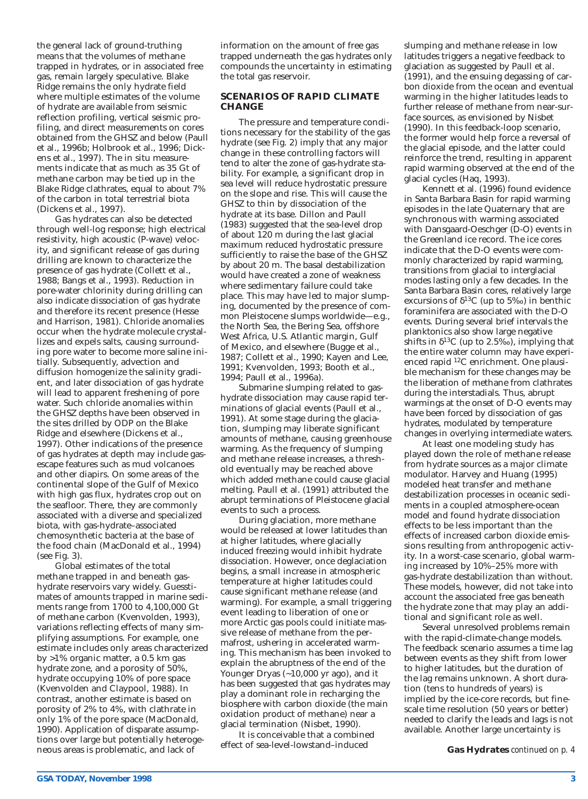the general lack of ground-truthing means that the volumes of methane trapped in hydrates, or in associated free gas, remain largely speculative. Blake Ridge remains the only hydrate field where multiple estimates of the volume of hydrate are available from seismic reflection profiling, vertical seismic profiling, and direct measurements on cores obtained from the GHSZ and below (Paull et al., 1996b; Holbrook et al., 1996; Dickens et al., 1997). The in situ measurements indicate that as much as 35 Gt of methane carbon may be tied up in the Blake Ridge clathrates, equal to about 7% of the carbon in total terrestrial biota (Dickens et al., 1997).

Gas hydrates can also be detected through well-log response; high electrical resistivity, high acoustic (P-wave) velocity, and significant release of gas during drilling are known to characterize the presence of gas hydrate (Collett et al., 1988; Bangs et al., 1993). Reduction in pore-water chlorinity during drilling can also indicate dissociation of gas hydrate and therefore its recent presence (Hesse and Harrison, 1981). Chloride anomalies occur when the hydrate molecule crystallizes and expels salts, causing surrounding pore water to become more saline initially. Subsequently, advection and diffusion homogenize the salinity gradient, and later dissociation of gas hydrate will lead to apparent freshening of pore water. Such chloride anomalies within the GHSZ depths have been observed in the sites drilled by ODP on the Blake Ridge and elsewhere (Dickens et al., 1997). Other indications of the presence of gas hydrates at depth may include gasescape features such as mud volcanoes and other diapirs. On some areas of the continental slope of the Gulf of Mexico with high gas flux, hydrates crop out on the seafloor. There, they are commonly associated with a diverse and specialized biota, with gas-hydrate–associated chemosynthetic bacteria at the base of the food chain (MacDonald et al., 1994) (see Fig. 3).

Global estimates of the total methane trapped in and beneath gashydrate reservoirs vary widely. Guesstimates of amounts trapped in marine sediments range from 1700 to 4,100,000 Gt of methane carbon (Kvenvolden, 1993), variations reflecting effects of many simplifying assumptions. For example, one estimate includes only areas characterized by >1% organic matter, a 0.5 km gas hydrate zone, and a porosity of 50%, hydrate occupying 10% of pore space (Kvenvolden and Claypool, 1988). In contrast, another estimate is based on porosity of 2% to 4%, with clathrate in only 1% of the pore space (MacDonald, 1990). Application of disparate assumptions over large but potentially heterogeneous areas is problematic, and lack of

information on the amount of free gas trapped underneath the gas hydrates only compounds the uncertainty in estimating the total gas reservoir.

#### **SCENARIOS OF RAPID CLIMATE CHANGE**

The pressure and temperature conditions necessary for the stability of the gas hydrate (see Fig. 2) imply that any major change in these controlling factors will tend to alter the zone of gas-hydrate stability. For example, a significant drop in sea level will reduce hydrostatic pressure on the slope and rise. This will cause the GHSZ to thin by dissociation of the hydrate at its base. Dillon and Paull (1983) suggested that the sea-level drop of about 120 m during the last glacial maximum reduced hydrostatic pressure sufficiently to raise the base of the GHSZ by about 20 m. The basal destabilization would have created a zone of weakness where sedimentary failure could take place. This may have led to major slumping, documented by the presence of common Pleistocene slumps worldwide—e.g., the North Sea, the Bering Sea, offshore West Africa, U.S. Atlantic margin, Gulf of Mexico, and elsewhere (Bugge et al., 1987; Collett et al., 1990; Kayen and Lee, 1991; Kvenvolden, 1993; Booth et al., 1994; Paull et al., 1996a).

Submarine slumping related to gashydrate dissociation may cause rapid terminations of glacial events (Paull et al., 1991). At some stage during the glaciation, slumping may liberate significant amounts of methane, causing greenhouse warming. As the frequency of slumping and methane release increases, a threshold eventually may be reached above which added methane could cause glacial melting. Paull et al. (1991) attributed the abrupt terminations of Pleistocene glacial events to such a process.

During glaciation, more methane would be released at lower latitudes than at higher latitudes, where glacially induced freezing would inhibit hydrate dissociation. However, once deglaciation begins, a small increase in atmospheric temperature at higher latitudes could cause significant methane release (and warming). For example, a small triggering event leading to liberation of one or more Arctic gas pools could initiate massive release of methane from the permafrost, ushering in accelerated warming. This mechanism has been invoked to explain the abruptness of the end of the Younger Dryas (~10,000 yr ago), and it has been suggested that gas hydrates may play a dominant role in recharging the biosphere with carbon dioxide (the main oxidation product of methane) near a glacial termination (Nisbet, 1990).

It is conceivable that a combined effect of sea-level-lowstand–induced

slumping and methane release in low latitudes triggers a negative feedback to glaciation as suggested by Paull et al. (1991), and the ensuing degassing of carbon dioxide from the ocean and eventual warming in the higher latitudes leads to further release of methane from near-surface sources, as envisioned by Nisbet (1990). In this feedback-loop scenario, the former would help force a reversal of the glacial episode, and the latter could reinforce the trend, resulting in apparent rapid warming observed at the end of the glacial cycles (Haq, 1993).

Kennett et al. (1996) found evidence in Santa Barbara Basin for rapid warming episodes in the late Quaternary that are synchronous with warming associated with Dansgaard-Oeschger (D-O) events in the Greenland ice record. The ice cores indicate that the D-O events were commonly characterized by rapid warming, transitions from glacial to interglacial modes lasting only a few decades. In the Santa Barbara Basin cores, relatively large excursions of  $\delta^{13}$ C (up to 5‰) in benthic foraminifera are associated with the D-O events. During several brief intervals the planktonics also show large negative shifts in  $\delta^{13}C$  (up to 2.5‰), implying that the entire water column may have experienced rapid 12C enrichment. One plausible mechanism for these changes may be the liberation of methane from clathrates during the interstadials. Thus, abrupt warmings at the onset of D-O events may have been forced by dissociation of gas hydrates, modulated by temperature changes in overlying intermediate waters.

At least one modeling study has played down the role of methane release from hydrate sources as a major climate modulator. Harvey and Huang (1995) modeled heat transfer and methane destabilization processes in oceanic sediments in a coupled atmosphere-ocean model and found hydrate dissociation effects to be less important than the effects of increased carbon dioxide emissions resulting from anthropogenic activity. In a worst-case scenario, global warming increased by 10%–25% more with gas-hydrate destabilization than without. These models, however, did not take into account the associated free gas beneath the hydrate zone that may play an additional and significant role as well.

Several unresolved problems remain with the rapid-climate-change models. The feedback scenario assumes a time lag between events as they shift from lower to higher latitudes, but the duration of the lag remains unknown. A short duration (tens to hundreds of years) is implied by the ice-core records, but finescale time resolution (50 years or better) needed to clarify the leads and lags is not available. Another large uncertainty is

**Gas Hydrates** *continued on p. 4*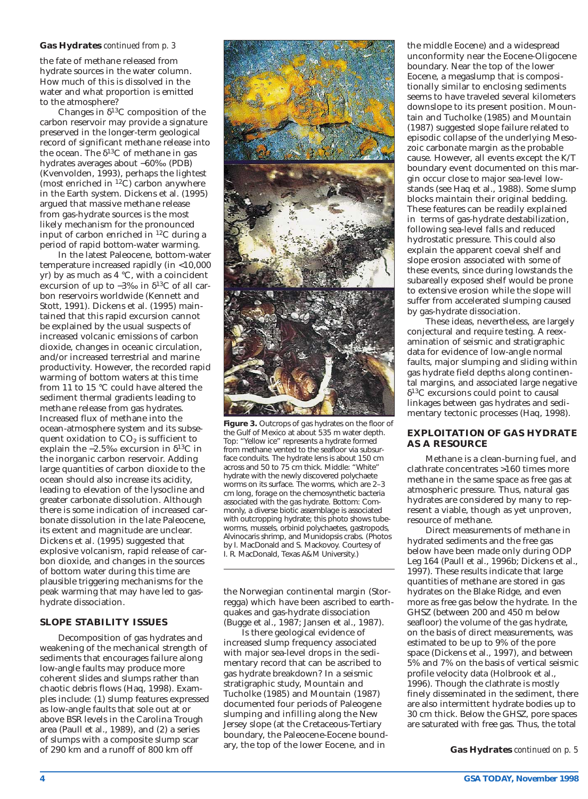#### **Gas Hydrates** *continued from p. 3*

the fate of methane released from hydrate sources in the water column. How much of this is dissolved in the water and what proportion is emitted to the atmosphere?

Changes in  $\delta^{13}$ C composition of the carbon reservoir may provide a signature preserved in the longer-term geological record of significant methane release into the ocean. The  $\delta^{13}$ C of methane in gas hydrates averages about −60‰ (PDB) (Kvenvolden, 1993), perhaps the lightest (most enriched in  ${}^{12}$ C) carbon anywhere in the Earth system. Dickens et al. (1995) argued that massive methane release from gas-hydrate sources is the most likely mechanism for the pronounced input of carbon enriched in 12C during a period of rapid bottom-water warming.

In the latest Paleocene, bottom-water temperature increased rapidly (in <10,000 yr) by as much as 4 °C, with a coincident excursion of up to  $-3\%$  in  $\delta^{13}$ C of all carbon reservoirs worldwide (Kennett and Stott, 1991). Dickens et al. (1995) maintained that this rapid excursion cannot be explained by the usual suspects of increased volcanic emissions of carbon dioxide, changes in oceanic circulation, and/or increased terrestrial and marine productivity. However, the recorded rapid warming of bottom waters at this time from 11 to 15 °C could have altered the sediment thermal gradients leading to methane release from gas hydrates. Increased flux of methane into the ocean-atmosphere system and its subsequent oxidation to  $CO<sub>2</sub>$  is sufficient to explain the −2.5‰ excursion in δ<sup>13</sup>C in the inorganic carbon reservoir. Adding large quantities of carbon dioxide to the ocean should also increase its acidity, leading to elevation of the lysocline and greater carbonate dissolution. Although there is some indication of increased carbonate dissolution in the late Paleocene, its extent and magnitude are unclear. Dickens et al. (1995) suggested that explosive volcanism, rapid release of carbon dioxide, and changes in the sources of bottom water during this time are plausible triggering mechanisms for the peak warming that may have led to gashydrate dissociation.

#### **SLOPE STABILITY ISSUES**

Decomposition of gas hydrates and weakening of the mechanical strength of sediments that encourages failure along low-angle faults may produce more coherent slides and slumps rather than chaotic debris flows (Haq, 1998). Examples include: (1) slump features expressed as low-angle faults that sole out at or above BSR levels in the Carolina Trough area (Paull et al., 1989), and (2) a series of slumps with a composite slump scar of 290 km and a runoff of 800 km off



**Figure 3.** Outcrops of gas hydrates on the floor of the Gulf of Mexico at about 535 m water depth. Top: "Yellow ice" represents a hydrate formed from methane vented to the seafloor via subsurface conduits. The hydrate lens is about 150 cm across and 50 to 75 cm thick. Middle: "White" hydrate with the newly discovered polychaete worms on its surface. The worms, which are 2–3 cm long, forage on the chemosynthetic bacteria associated with the gas hydrate. Bottom: Commonly, a diverse biotic assemblage is associated with outcropping hydrate; this photo shows tubeworms, mussels, orbinid polychaetes, gastropods, Alvinocaris shrimp, and Munidopsis crabs. (Photos by I. MacDonald and S. Mackovoy. Courtesy of I. R. MacDonald, Texas A&M University.)

the Norwegian continental margin (Storregga) which have been ascribed to earthquakes and gas-hydrate dissociation (Bugge et al., 1987; Jansen et al., 1987).

Is there geological evidence of increased slump frequency associated with major sea-level drops in the sedimentary record that can be ascribed to gas hydrate breakdown? In a seismic stratigraphic study, Mountain and Tucholke (1985) and Mountain (1987) documented four periods of Paleogene slumping and infilling along the New Jersey slope (at the Cretaceous-Tertiary boundary, the Paleocene-Eocene boundary, the top of the lower Eocene, and in

the middle Eocene) and a widespread unconformity near the Eocene-Oligocene boundary. Near the top of the lower Eocene, a megaslump that is compositionally similar to enclosing sediments seems to have traveled several kilometers downslope to its present position. Mountain and Tucholke (1985) and Mountain (1987) suggested slope failure related to episodic collapse of the underlying Mesozoic carbonate margin as the probable cause. However, all events except the K/T boundary event documented on this margin occur close to major sea-level lowstands (see Haq et al., 1988). Some slump blocks maintain their original bedding. These features can be readily explained in terms of gas-hydrate destabilization, following sea-level falls and reduced hydrostatic pressure. This could also explain the apparent coeval shelf and slope erosion associated with some of these events, since during lowstands the subareally exposed shelf would be prone to extensive erosion while the slope will suffer from accelerated slumping caused by gas-hydrate dissociation.

These ideas, nevertheless, are largely conjectural and require testing. A reexamination of seismic and stratigraphic data for evidence of low-angle normal faults, major slumping and sliding within gas hydrate field depths along continental margins, and associated large negative  $\delta^{13}$ C excursions could point to causal linkages between gas hydrates and sedimentary tectonic processes (Haq, 1998).

#### **EXPLOITATION OF GAS HYDRATE AS A RESOURCE**

Methane is a clean-burning fuel, and clathrate concentrates >160 times more methane in the same space as free gas at atmospheric pressure. Thus, natural gas hydrates are considered by many to represent a viable, though as yet unproven, resource of methane.

Direct measurements of methane in hydrated sediments and the free gas below have been made only during ODP Leg 164 (Paull et al., 1996b; Dickens et al., 1997). These results indicate that large quantities of methane are stored in gas hydrates on the Blake Ridge, and even more as free gas below the hydrate. In the GHSZ (between 200 and 450 m below seafloor) the volume of the gas hydrate, on the basis of direct measurements, was estimated to be up to 9% of the pore space (Dickens et al., 1997), and between 5% and 7% on the basis of vertical seismic profile velocity data (Holbrook et al., 1996). Though the clathrate is mostly finely disseminated in the sediment, there are also intermittent hydrate bodies up to 30 cm thick. Below the GHSZ, pore spaces are saturated with free gas. Thus, the total

**Gas Hydrates** *continued on p. 5*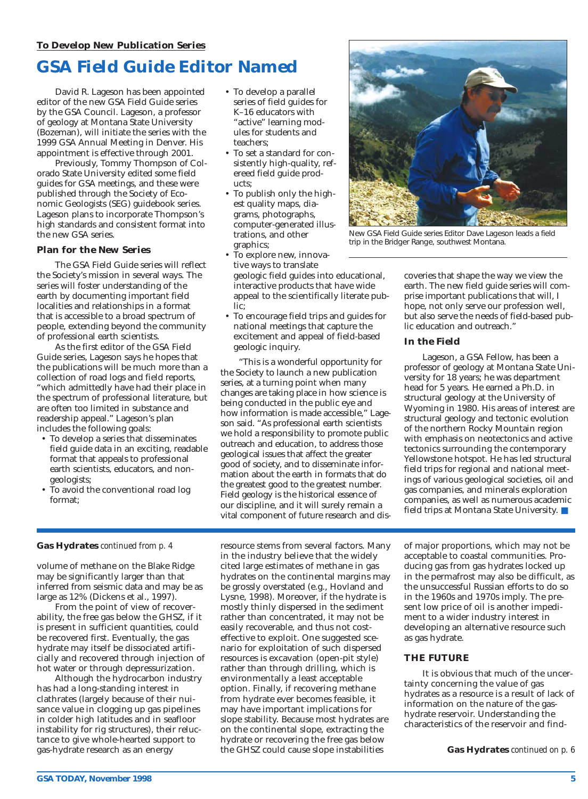# **GSA Field Guide Editor Named**

David R. Lageson has been appointed editor of the new GSA Field Guide series by the GSA Council. Lageson, a professor of geology at Montana State University (Bozeman), will initiate the series with the 1999 GSA Annual Meeting in Denver. His appointment is effective through 2001.

Previously, Tommy Thompson of Colorado State University edited some field guides for GSA meetings, and these were published through the Society of Economic Geologists (SEG) guidebook series. Lageson plans to incorporate Thompson's high standards and consistent format into the new GSA series.

### **Plan for the New Series**

The GSA Field Guide series will reflect the Society's mission in several ways. The series will foster understanding of the earth by documenting important field localities and relationships in a format that is accessible to a broad spectrum of people, extending beyond the community of professional earth scientists.

As the first editor of the GSA Field Guide series, Lageson says he hopes that the publications will be much more than a collection of road logs and field reports, "which admittedly have had their place in the spectrum of professional literature, but are often too limited in substance and readership appeal." Lageson's plan includes the following goals:

- To develop a series that disseminates field guide data in an exciting, readable format that appeals to professional earth scientists, educators, and nongeologists;
- To avoid the conventional road log format;
- To develop a parallel series of field guides for K–16 educators with "active" learning modules for students and teachers;
- To set a standard for consistently high-quality, refereed field guide products;
- To publish only the highest quality maps, diagrams, photographs, computer-generated illustrations, and other graphics;
- To explore new, innovative ways to translate geologic field guides into educational, interactive products that have wide appeal to the scientifically literate public;
- To encourage field trips and guides for national meetings that capture the excitement and appeal of field-based geologic inquiry.

"This is a wonderful opportunity for the Society to launch a new publication series, at a turning point when many changes are taking place in how science is being conducted in the public eye and how information is made accessible," Lageson said. "As professional earth scientists we hold a responsibility to promote public outreach and education, to address those geological issues that affect the greater good of society, and to disseminate information about the earth in formats that do the greatest good to the greatest number. Field geology is the historical essence of our discipline, and it will surely remain a vital component of future research and dis-



New GSA Field Guide series Editor Dave Lageson leads a field trip in the Bridger Range, southwest Montana.

coveries that shape the way we view the earth. The new field guide series will comprise important publications that will, I hope, not only serve our profession well, but also serve the needs of field-based public education and outreach."

### **In the Field**

Lageson, a GSA Fellow, has been a professor of geology at Montana State University for 18 years; he was department head for 5 years. He earned a Ph.D. in structural geology at the University of Wyoming in 1980. His areas of interest are structural geology and tectonic evolution of the northern Rocky Mountain region with emphasis on neotectonics and active tectonics surrounding the contemporary Yellowstone hotspot. He has led structural field trips for regional and national meetings of various geological societies, oil and gas companies, and minerals exploration companies, as well as numerous academic field trips at Montana State University. ■

### **Gas Hydrates** *continued from p. 4*

volume of methane on the Blake Ridge may be significantly larger than that inferred from seismic data and may be as large as 12% (Dickens et al., 1997).

From the point of view of recoverability, the free gas below the GHSZ, if it is present in sufficient quantities, could be recovered first. Eventually, the gas hydrate may itself be dissociated artificially and recovered through injection of hot water or through depressurization.

Although the hydrocarbon industry has had a long-standing interest in clathrates (largely because of their nuisance value in clogging up gas pipelines in colder high latitudes and in seafloor instability for rig structures), their reluctance to give whole-hearted support to gas-hydrate research as an energy

resource stems from several factors. Many in the industry believe that the widely cited large estimates of methane in gas hydrates on the continental margins may be grossly overstated (e.g., Hovland and Lysne, 1998). Moreover, if the hydrate is mostly thinly dispersed in the sediment rather than concentrated, it may not be easily recoverable, and thus not costeffective to exploit. One suggested scenario for exploitation of such dispersed resources is excavation (open-pit style) rather than through drilling, which is environmentally a least acceptable option. Finally, if recovering methane from hydrate ever becomes feasible, it may have important implications for slope stability. Because most hydrates are on the continental slope, extracting the hydrate or recovering the free gas below the GHSZ could cause slope instabilities

of major proportions, which may not be acceptable to coastal communities. Producing gas from gas hydrates locked up in the permafrost may also be difficult, as the unsuccessful Russian efforts to do so in the 1960s and 1970s imply. The present low price of oil is another impediment to a wider industry interest in developing an alternative resource such as gas hydrate.

### **THE FUTURE**

It is obvious that much of the uncertainty concerning the value of gas hydrates as a resource is a result of lack of information on the nature of the gashydrate reservoir. Understanding the characteristics of the reservoir and find-

**Gas Hydrates** *continued on p. 6*